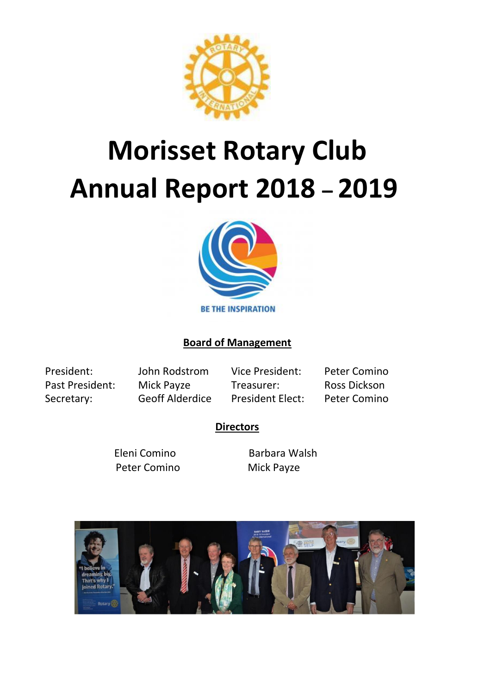

# **Morisset Rotary Club Annual Report 2018 – 2019**



# **Board of Management**

President: John Rodstrom Vice President: Peter Comino Past President: Mick Payze Treasurer: Ross Dickson Secretary: Geoff Alderdice President Elect: Peter Comino

## **Directors**

Eleni Comino Barbara Walsh Peter Comino Mick Payze

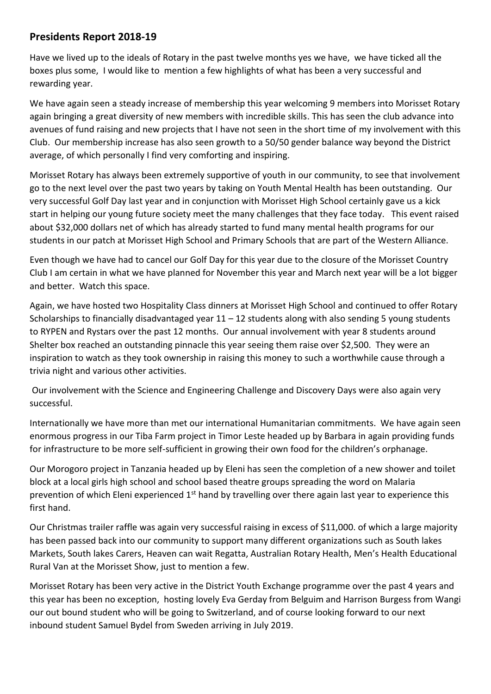# **Presidents Report 2018-19**

Have we lived up to the ideals of Rotary in the past twelve months yes we have, we have ticked all the boxes plus some, I would like to mention a few highlights of what has been a very successful and rewarding year.

We have again seen a steady increase of membership this year welcoming 9 members into Morisset Rotary again bringing a great diversity of new members with incredible skills. This has seen the club advance into avenues of fund raising and new projects that I have not seen in the short time of my involvement with this Club. Our membership increase has also seen growth to a 50/50 gender balance way beyond the District average, of which personally I find very comforting and inspiring.

Morisset Rotary has always been extremely supportive of youth in our community, to see that involvement go to the next level over the past two years by taking on Youth Mental Health has been outstanding. Our very successful Golf Day last year and in conjunction with Morisset High School certainly gave us a kick start in helping our young future society meet the many challenges that they face today. This event raised about \$32,000 dollars net of which has already started to fund many mental health programs for our students in our patch at Morisset High School and Primary Schools that are part of the Western Alliance.

Even though we have had to cancel our Golf Day for this year due to the closure of the Morisset Country Club I am certain in what we have planned for November this year and March next year will be a lot bigger and better. Watch this space.

Again, we have hosted two Hospitality Class dinners at Morisset High School and continued to offer Rotary Scholarships to financially disadvantaged year  $11 - 12$  students along with also sending 5 young students to RYPEN and Rystars over the past 12 months. Our annual involvement with year 8 students around Shelter box reached an outstanding pinnacle this year seeing them raise over \$2,500. They were an inspiration to watch as they took ownership in raising this money to such a worthwhile cause through a trivia night and various other activities.

Our involvement with the Science and Engineering Challenge and Discovery Days were also again very successful.

Internationally we have more than met our international Humanitarian commitments. We have again seen enormous progress in our Tiba Farm project in Timor Leste headed up by Barbara in again providing funds for infrastructure to be more self-sufficient in growing their own food for the children's orphanage.

Our Morogoro project in Tanzania headed up by Eleni has seen the completion of a new shower and toilet block at a local girls high school and school based theatre groups spreading the word on Malaria prevention of which Eleni experienced  $1<sup>st</sup>$  hand by travelling over there again last year to experience this first hand.

Our Christmas trailer raffle was again very successful raising in excess of \$11,000. of which a large majority has been passed back into our community to support many different organizations such as South lakes Markets, South lakes Carers, Heaven can wait Regatta, Australian Rotary Health, Men's Health Educational Rural Van at the Morisset Show, just to mention a few.

Morisset Rotary has been very active in the District Youth Exchange programme over the past 4 years and this year has been no exception, hosting lovely Eva Gerday from Belguim and Harrison Burgess from Wangi our out bound student who will be going to Switzerland, and of course looking forward to our next inbound student Samuel Bydel from Sweden arriving in July 2019.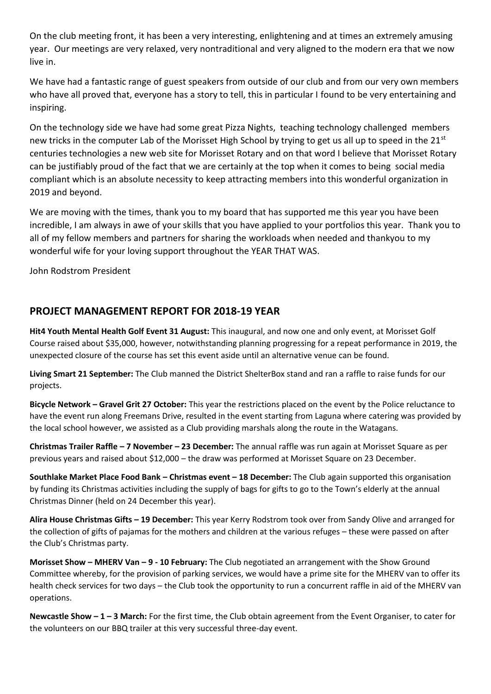On the club meeting front, it has been a very interesting, enlightening and at times an extremely amusing year. Our meetings are very relaxed, very nontraditional and very aligned to the modern era that we now live in.

We have had a fantastic range of guest speakers from outside of our club and from our very own members who have all proved that, everyone has a story to tell, this in particular I found to be very entertaining and inspiring.

On the technology side we have had some great Pizza Nights, teaching technology challenged members new tricks in the computer Lab of the Morisset High School by trying to get us all up to speed in the 21st centuries technologies a new web site for Morisset Rotary and on that word I believe that Morisset Rotary can be justifiably proud of the fact that we are certainly at the top when it comes to being social media compliant which is an absolute necessity to keep attracting members into this wonderful organization in 2019 and beyond.

We are moving with the times, thank you to my board that has supported me this year you have been incredible, I am always in awe of your skills that you have applied to your portfolios this year. Thank you to all of my fellow members and partners for sharing the workloads when needed and thankyou to my wonderful wife for your loving support throughout the YEAR THAT WAS.

John Rodstrom President

# **PROJECT MANAGEMENT REPORT FOR 2018-19 YEAR**

**Hit4 Youth Mental Health Golf Event 31 August:** This inaugural, and now one and only event, at Morisset Golf Course raised about \$35,000, however, notwithstanding planning progressing for a repeat performance in 2019, the unexpected closure of the course has set this event aside until an alternative venue can be found.

**Living Smart 21 September:** The Club manned the District ShelterBox stand and ran a raffle to raise funds for our projects.

**Bicycle Network – Gravel Grit 27 October:** This year the restrictions placed on the event by the Police reluctance to have the event run along Freemans Drive, resulted in the event starting from Laguna where catering was provided by the local school however, we assisted as a Club providing marshals along the route in the Watagans.

**Christmas Trailer Raffle – 7 November – 23 December:** The annual raffle was run again at Morisset Square as per previous years and raised about \$12,000 – the draw was performed at Morisset Square on 23 December.

**Southlake Market Place Food Bank – Christmas event – 18 December:** The Club again supported this organisation by funding its Christmas activities including the supply of bags for gifts to go to the Town's elderly at the annual Christmas Dinner (held on 24 December this year).

**Alira House Christmas Gifts – 19 December:** This year Kerry Rodstrom took over from Sandy Olive and arranged for the collection of gifts of pajamas for the mothers and children at the various refuges – these were passed on after the Club's Christmas party.

**Morisset Show – MHERV Van – 9 - 10 February:** The Club negotiated an arrangement with the Show Ground Committee whereby, for the provision of parking services, we would have a prime site for the MHERV van to offer its health check services for two days – the Club took the opportunity to run a concurrent raffle in aid of the MHERV van operations.

**Newcastle Show – 1 – 3 March:** For the first time, the Club obtain agreement from the Event Organiser, to cater for the volunteers on our BBQ trailer at this very successful three-day event.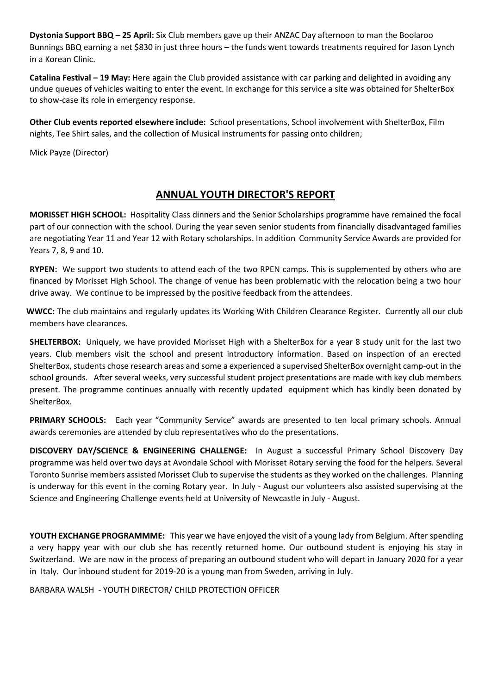**Dystonia Support BBQ** – **25 April:** Six Club members gave up their ANZAC Day afternoon to man the Boolaroo Bunnings BBQ earning a net \$830 in just three hours – the funds went towards treatments required for Jason Lynch in a Korean Clinic.

**Catalina Festival – 19 May:** Here again the Club provided assistance with car parking and delighted in avoiding any undue queues of vehicles waiting to enter the event. In exchange for this service a site was obtained for ShelterBox to show-case its role in emergency response.

**Other Club events reported elsewhere include:** School presentations, School involvement with ShelterBox, Film nights, Tee Shirt sales, and the collection of Musical instruments for passing onto children;

Mick Payze (Director)

# **ANNUAL YOUTH DIRECTOR'S REPORT**

**MORISSET HIGH SCHOOL:** Hospitality Class dinners and the Senior Scholarships programme have remained the focal part of our connection with the school. During the year seven senior students from financially disadvantaged families are negotiating Year 11 and Year 12 with Rotary scholarships. In addition Community Service Awards are provided for Years 7, 8, 9 and 10.

**RYPEN:** We support two students to attend each of the two RPEN camps. This is supplemented by others who are financed by Morisset High School. The change of venue has been problematic with the relocation being a two hour drive away. We continue to be impressed by the positive feedback from the attendees.

 **WWCC:** The club maintains and regularly updates its Working With Children Clearance Register. Currently all our club members have clearances.

**SHELTERBOX:** Uniquely, we have provided Morisset High with a ShelterBox for a year 8 study unit for the last two years. Club members visit the school and present introductory information. Based on inspection of an erected ShelterBox, students chose research areas and some a experienced a supervised ShelterBox overnight camp-out in the school grounds. After several weeks, very successful student project presentations are made with key club members present. The programme continues annually with recently updated equipment which has kindly been donated by ShelterBox.

**PRIMARY SCHOOLS:** Each year "Community Service" awards are presented to ten local primary schools. Annual awards ceremonies are attended by club representatives who do the presentations.

**DISCOVERY DAY/SCIENCE & ENGINEERING CHALLENGE:** In August a successful Primary School Discovery Day programme was held over two days at Avondale School with Morisset Rotary serving the food for the helpers. Several Toronto Sunrise members assisted Morisset Club to supervise the students as they worked on the challenges. Planning is underway for this event in the coming Rotary year. In July - August our volunteers also assisted supervising at the Science and Engineering Challenge events held at University of Newcastle in July - August.

**YOUTH EXCHANGE PROGRAMMME:** This year we have enjoyed the visit of a young lady from Belgium. After spending a very happy year with our club she has recently returned home. Our outbound student is enjoying his stay in Switzerland. We are now in the process of preparing an outbound student who will depart in January 2020 for a year in Italy. Our inbound student for 2019-20 is a young man from Sweden, arriving in July.

BARBARA WALSH - YOUTH DIRECTOR/ CHILD PROTECTION OFFICER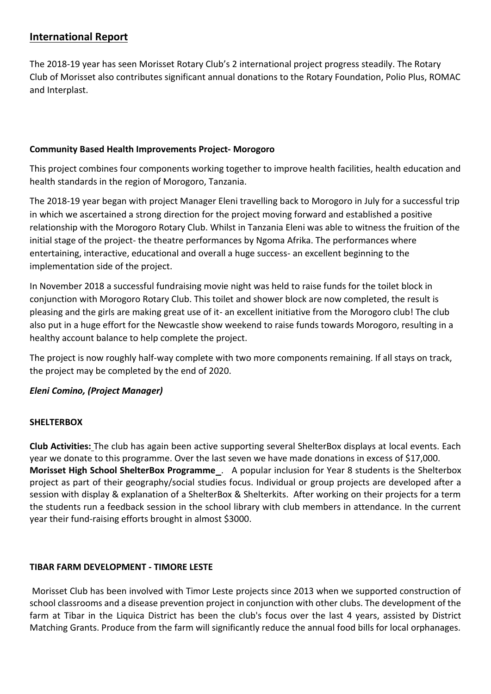## **International Report**

The 2018-19 year has seen Morisset Rotary Club's 2 international project progress steadily. The Rotary Club of Morisset also contributes significant annual donations to the Rotary Foundation, Polio Plus, ROMAC and Interplast.

#### **Community Based Health Improvements Project- Morogoro**

This project combines four components working together to improve health facilities, health education and health standards in the region of Morogoro, Tanzania.

The 2018-19 year began with project Manager Eleni travelling back to Morogoro in July for a successful trip in which we ascertained a strong direction for the project moving forward and established a positive relationship with the Morogoro Rotary Club. Whilst in Tanzania Eleni was able to witness the fruition of the initial stage of the project- the theatre performances by Ngoma Afrika. The performances where entertaining, interactive, educational and overall a huge success- an excellent beginning to the implementation side of the project.

In November 2018 a successful fundraising movie night was held to raise funds for the toilet block in conjunction with Morogoro Rotary Club. This toilet and shower block are now completed, the result is pleasing and the girls are making great use of it- an excellent initiative from the Morogoro club! The club also put in a huge effort for the Newcastle show weekend to raise funds towards Morogoro, resulting in a healthy account balance to help complete the project.

The project is now roughly half-way complete with two more components remaining. If all stays on track, the project may be completed by the end of 2020.

## *Eleni Comino, (Project Manager)*

#### **SHELTERBOX**

**Club Activities:** The club has again been active supporting several ShelterBox displays at local events. Each year we donate to this programme. Over the last seven we have made donations in excess of \$17,000. **Morisset High School ShelterBox Programme** . A popular inclusion for Year 8 students is the Shelterbox project as part of their geography/social studies focus. Individual or group projects are developed after a session with display & explanation of a ShelterBox & Shelterkits. After working on their projects for a term the students run a feedback session in the school library with club members in attendance. In the current year their fund-raising efforts brought in almost \$3000.

#### **TIBAR FARM DEVELOPMENT - TIMORE LESTE**

Morisset Club has been involved with Timor Leste projects since 2013 when we supported construction of school classrooms and a disease prevention project in conjunction with other clubs. The development of the farm at Tibar in the Liquica District has been the club's focus over the last 4 years, assisted by District Matching Grants. Produce from the farm will significantly reduce the annual food bills for local orphanages.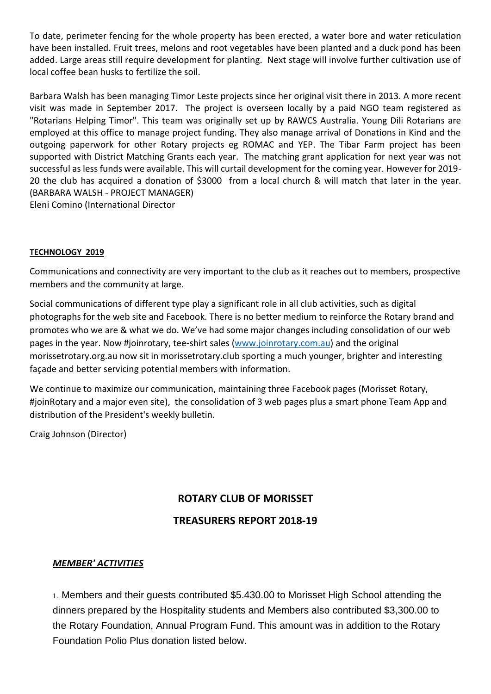To date, perimeter fencing for the whole property has been erected, a water bore and water reticulation have been installed. Fruit trees, melons and root vegetables have been planted and a duck pond has been added. Large areas still require development for planting. Next stage will involve further cultivation use of local coffee bean husks to fertilize the soil.

Barbara Walsh has been managing Timor Leste projects since her original visit there in 2013. A more recent visit was made in September 2017. The project is overseen locally by a paid NGO team registered as "Rotarians Helping Timor". This team was originally set up by RAWCS Australia. Young Dili Rotarians are employed at this office to manage project funding. They also manage arrival of Donations in Kind and the outgoing paperwork for other Rotary projects eg ROMAC and YEP. The Tibar Farm project has been supported with District Matching Grants each year. The matching grant application for next year was not successful as less funds were available. This will curtail development for the coming year. However for 2019- 20 the club has acquired a donation of \$3000 from a local church & will match that later in the year. (BARBARA WALSH - PROJECT MANAGER) Eleni Comino (International Director

#### **TECHNOLOGY 2019**

Communications and connectivity are very important to the club as it reaches out to members, prospective members and the community at large.

Social communications of different type play a significant role in all club activities, such as digital photographs for the web site and Facebook. There is no better medium to reinforce the Rotary brand and promotes who we are & what we do. We've had some major changes including consolidation of our web pages in the year. Now #joinrotary, tee-shirt sales (www.joinrotary.com.au) and the original morissetrotary.org.au now sit in morissetrotary.club sporting a much younger, brighter and interesting façade and better servicing potential members with information.

We continue to maximize our communication, maintaining three Facebook pages (Morisset Rotary, #joinRotary and a major even site), the consolidation of 3 web pages plus a smart phone Team App and distribution of the President's weekly bulletin.

Craig Johnson (Director)

# **ROTARY CLUB OF MORISSET TREASURERS REPORT 2018-19**

#### *MEMBER' ACTIVITIES*

1. Members and their guests contributed \$5.430.00 to Morisset High School attending the dinners prepared by the Hospitality students and Members also contributed \$3,300.00 to the Rotary Foundation, Annual Program Fund. This amount was in addition to the Rotary Foundation Polio Plus donation listed below.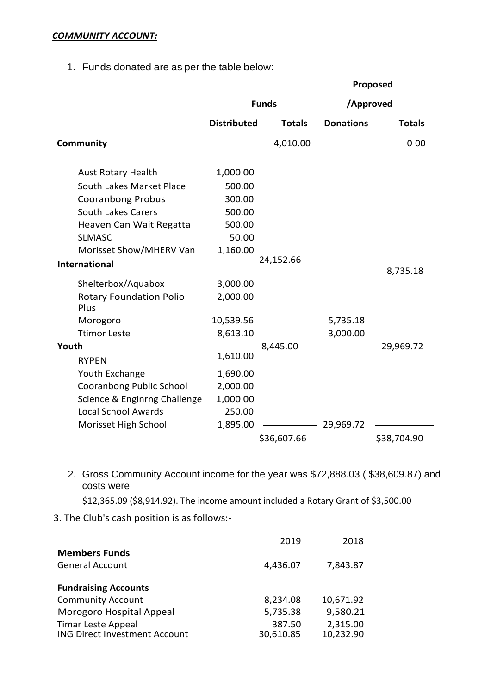#### *COMMUNITY ACCOUNT:*

1. Funds donated are as per the table below:

|                                        |                    |               |                  | Proposed      |
|----------------------------------------|--------------------|---------------|------------------|---------------|
|                                        | <b>Funds</b>       |               | /Approved        |               |
|                                        | <b>Distributed</b> | <b>Totals</b> | <b>Donations</b> | <b>Totals</b> |
| Community                              |                    | 4,010.00      |                  | 000           |
| <b>Aust Rotary Health</b>              | 1,000 00           |               |                  |               |
| South Lakes Market Place               | 500.00             |               |                  |               |
| <b>Cooranbong Probus</b>               | 300.00             |               |                  |               |
| South Lakes Carers                     | 500.00             |               |                  |               |
| Heaven Can Wait Regatta                | 500.00             |               |                  |               |
| <b>SLMASC</b>                          | 50.00              |               |                  |               |
| Morisset Show/MHERV Van                | 1,160.00           |               |                  |               |
| <b>International</b>                   |                    | 24,152.66     |                  | 8,735.18      |
| Shelterbox/Aquabox                     | 3,000.00           |               |                  |               |
| <b>Rotary Foundation Polio</b><br>Plus | 2,000.00           |               |                  |               |
| Morogoro                               | 10,539.56          |               | 5,735.18         |               |
| <b>Ttimor Leste</b>                    | 8,613.10           |               | 3,000.00         |               |
| Youth                                  |                    | 8,445.00      |                  | 29,969.72     |
| <b>RYPEN</b>                           | 1,610.00           |               |                  |               |
| Youth Exchange                         | 1,690.00           |               |                  |               |
| Cooranbong Public School               | 2,000.00           |               |                  |               |
| Science & Enginrng Challenge           | 1,000 00           |               |                  |               |
| <b>Local School Awards</b>             | 250.00             |               |                  |               |
| Morisset High School                   | 1,895.00           |               | 29,969.72        |               |
|                                        |                    | \$36,607.66   |                  | \$38,704.90   |

2. Gross Community Account income for the year was \$72,888.03 ( \$38,609.87) and costs were

\$12,365.09 (\$8,914.92). The income amount included a Rotary Grant of \$3,500.00

3. The Club's cash position is as follows:-

|                                                                   | 2019                | 2018                  |
|-------------------------------------------------------------------|---------------------|-----------------------|
| <b>Members Funds</b>                                              |                     |                       |
| <b>General Account</b>                                            | 4,436.07            | 7,843.87              |
| <b>Fundraising Accounts</b>                                       |                     |                       |
| <b>Community Account</b>                                          | 8,234.08            | 10,671.92             |
| Morogoro Hospital Appeal                                          | 5,735.38            | 9,580.21              |
| <b>Timar Leste Appeal</b><br><b>ING Direct Investment Account</b> | 387.50<br>30,610.85 | 2,315.00<br>10,232.90 |